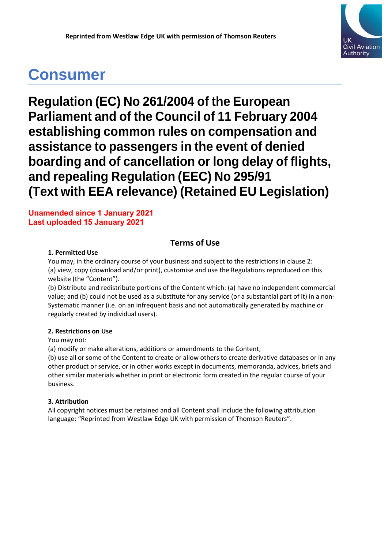

# **Consumer**

**Regulation (EC) No 261/2004 of the European Parliament and of the Council of 11 February 2004 establishing common rules on compensation and assistance to passengers in the event of denied boarding and of cancellation or long delay of flights, and repealing Regulation (EEC) No 295/91 (Text with EEA relevance) (Retained EU Legislation)**

# **Unamended since 1 January 2021 Last uploaded 15 January 2021**

# **Terms of Use**

#### **1. Permitted Use**

You may, in the ordinary course of your business and subject to the restrictions in clause 2: (a) view, copy (download and/or print), customise and use the Regulations reproduced on this website (the "Content").

(b) Distribute and redistribute portions of the Content which: (a) have no independent commercial value; and (b) could not be used as a substitute for any service (or a substantial part of it) in a non-Systematic manner (i.e. on an infrequent basis and not automatically generated by machine or regularly created by individual users).

#### **2. Restrictions on Use**

#### You may not:

(a) modify or make alterations, additions or amendments to the Content;

(b) use all or some of the Content to create or allow others to create derivative databases or in any other product or service, or in other works except in documents, memoranda, advices, briefs and other similar materials whether in print or electronic form created in the regular course of your business.

#### **3. Attribution**

All copyright notices must be retained and all Content shall include the following attribution language: "Reprinted from Westlaw Edge UK with permission of Thomson Reuters".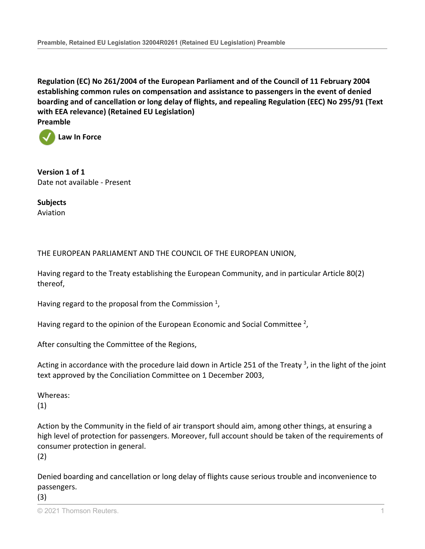**Preamble**



**Version 1 of 1** Date not available - Present

**Subjects** Aviation

THE EUROPEAN PARLIAMENT AND THE COUNCIL OF THE EUROPEAN UNION,

Having regard to the Treaty establishing the European Community, and in particular Article 80(2) thereof,

Having regard to the proposal from the Commission  $^1$ ,

Having regard to the opinion of the European Economic and Social Committee<sup>2</sup>,

After consulting the Committee of the Regions,

Acting in accordance with the procedure laid down in Article 251 of the Treaty<sup>3</sup>, in the light of the joint text approved by the Conciliation Committee on 1 December 2003,

Whereas:

(1)

Action by the Community in the field of air transport should aim, among other things, at ensuring a high level of protection for passengers. Moreover, full account should be taken of the requirements of consumer protection in general.

(2)

Denied boarding and cancellation or long delay of flights cause serious trouble and inconvenience to passengers.

(3)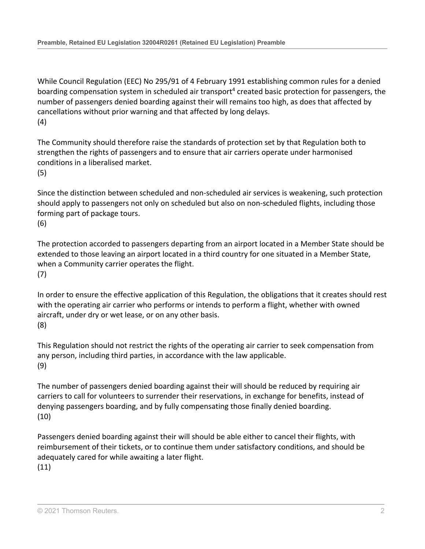While Council Regulation (EEC) No 295/91 of 4 February 1991 establishing common rules for a denied boarding compensation system in scheduled air transport<sup>4</sup> created basic protection for passengers, the number of passengers denied boarding against their will remains too high, as does that affected by cancellations without prior warning and that affected by long delays. (4)

The Community should therefore raise the standards of protection set by that Regulation both to strengthen the rights of passengers and to ensure that air carriers operate under harmonised conditions in a liberalised market.

(5)

Since the distinction between scheduled and non-scheduled air services is weakening, such protection should apply to passengers not only on scheduled but also on non-scheduled flights, including those forming part of package tours.

(6)

The protection accorded to passengers departing from an airport located in a Member State should be extended to those leaving an airport located in a third country for one situated in a Member State, when a Community carrier operates the flight.

(7)

In order to ensure the effective application of this Regulation, the obligations that it creates should rest with the operating air carrier who performs or intends to perform a flight, whether with owned aircraft, under dry or wet lease, or on any other basis. (8)

This Regulation should not restrict the rights of the operating air carrier to seek compensation from any person, including third parties, in accordance with the law applicable. (9)

The number of passengers denied boarding against their will should be reduced by requiring air carriers to call for volunteers to surrender their reservations, in exchange for benefits, instead of denying passengers boarding, and by fully compensating those finally denied boarding. (10)

Passengers denied boarding against their will should be able either to cancel their flights, with reimbursement of their tickets, or to continue them under satisfactory conditions, and should be adequately cared for while awaiting a later flight.

(11)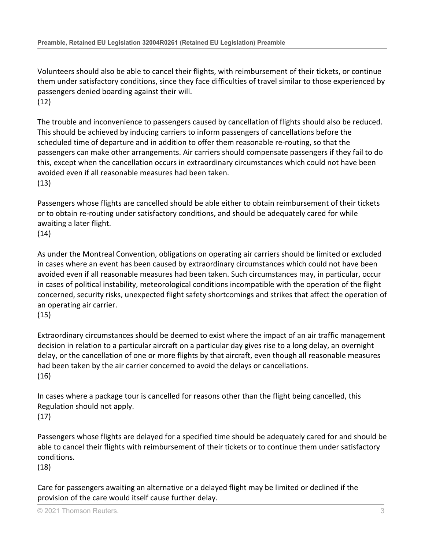Volunteers should also be able to cancel their flights, with reimbursement of their tickets, or continue them under satisfactory conditions, since they face difficulties of travel similar to those experienced by passengers denied boarding against their will. (12)

The trouble and inconvenience to passengers caused by cancellation of flights should also be reduced. This should be achieved by inducing carriers to inform passengers of cancellations before the scheduled time of departure and in addition to offer them reasonable re-routing, so that the passengers can make other arrangements. Air carriers should compensate passengers if they fail to do this, except when the cancellation occurs in extraordinary circumstances which could not have been avoided even if all reasonable measures had been taken. (13)

Passengers whose flights are cancelled should be able either to obtain reimbursement of their tickets or to obtain re-routing under satisfactory conditions, and should be adequately cared for while awaiting a later flight.

(14)

As under the Montreal Convention, obligations on operating air carriers should be limited or excluded in cases where an event has been caused by extraordinary circumstances which could not have been avoided even if all reasonable measures had been taken. Such circumstances may, in particular, occur in cases of political instability, meteorological conditions incompatible with the operation of the flight concerned, security risks, unexpected flight safety shortcomings and strikes that affect the operation of an operating air carrier.

(15)

Extraordinary circumstances should be deemed to exist where the impact of an air traffic management decision in relation to a particular aircraft on a particular day gives rise to a long delay, an overnight delay, or the cancellation of one or more flights by that aircraft, even though all reasonable measures had been taken by the air carrier concerned to avoid the delays or cancellations. (16)

In cases where a package tour is cancelled for reasons other than the flight being cancelled, this Regulation should not apply. (17)

Passengers whose flights are delayed for a specified time should be adequately cared for and should be able to cancel their flights with reimbursement of their tickets or to continue them under satisfactory

(18)

conditions.

Care for passengers awaiting an alternative or a delayed flight may be limited or declined if the provision of the care would itself cause further delay.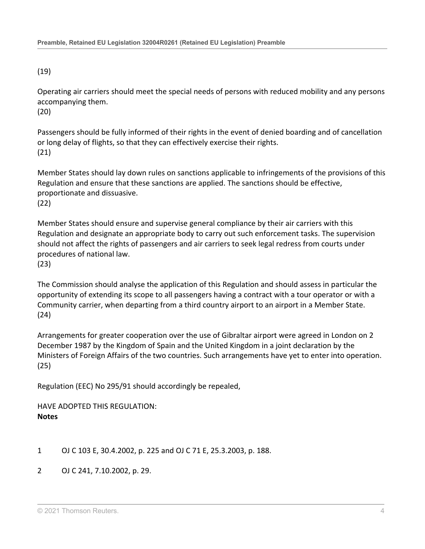(19)

Operating air carriers should meet the special needs of persons with reduced mobility and any persons accompanying them.

(20)

Passengers should be fully informed of their rights in the event of denied boarding and of cancellation or long delay of flights, so that they can effectively exercise their rights. (21)

Member States should lay down rules on sanctions applicable to infringements of the provisions of this Regulation and ensure that these sanctions are applied. The sanctions should be effective, proportionate and dissuasive. (22)

Member States should ensure and supervise general compliance by their air carriers with this Regulation and designate an appropriate body to carry out such enforcement tasks. The supervision should not affect the rights of passengers and air carriers to seek legal redress from courts under procedures of national law.

(23)

The Commission should analyse the application of this Regulation and should assess in particular the opportunity of extending its scope to all passengers having a contract with a tour operator or with a Community carrier, when departing from a third country airport to an airport in a Member State. (24)

Arrangements for greater cooperation over the use of Gibraltar airport were agreed in London on 2 December 1987 by the Kingdom of Spain and the United Kingdom in a joint declaration by the Ministers of Foreign Affairs of the two countries. Such arrangements have yet to enter into operation. (25)

Regulation (EEC) No 295/91 should accordingly be repealed,

HAVE ADOPTED THIS REGULATION: **Notes**

- 1 OJ C 103 E, 30.4.2002, p. 225 and OJ C 71 E, 25.3.2003, p. 188.
- 2 OJ C 241, 7.10.2002, p. 29.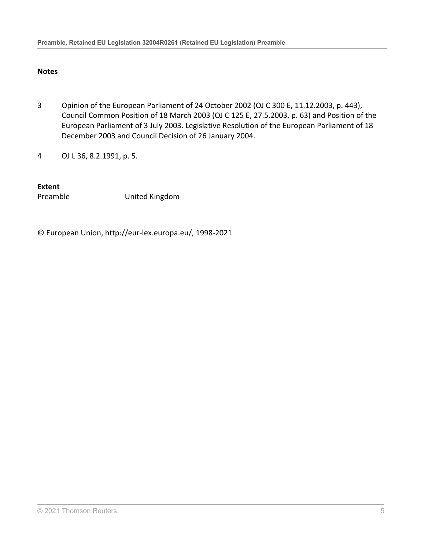#### **Notes**

- 3 Opinion of the European Parliament of 24 October 2002 (OJ C 300 E, 11.12.2003, p. 443), Council Common Position of 18 March 2003 (OJ C 125 E, 27.5.2003, p. 63) and Position of the European Parliament of 3 July 2003. Legislative Resolution of the European Parliament of 18 December 2003 and Council Decision of 26 January 2004.
- 4 OJ L 36, 8.2.1991, p. 5.

#### **Extent**

Preamble United Kingdom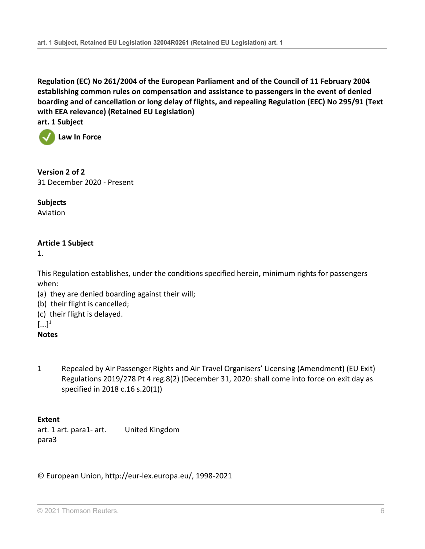**art. 1 Subject**



**Version 2 of 2** 31 December 2020 - Present

**Subjects** Aviation

# **Article 1 Subject**

1.

This Regulation establishes, under the conditions specified herein, minimum rights for passengers when:

- (a) they are denied boarding against their will;
- (b) their flight is cancelled;
- (c) their flight is delayed.
- $\left[\ldots\right]^1$

# **Notes**

1 Repealed by Air Passenger Rights and Air Travel Organisers' Licensing (Amendment) (EU Exit) Regulations 2019/278 [Pt 4 reg.8\(2\)](http://uk.westlaw.com/Document/I5D5CF9B0359E11E993EDCD2CE0E115CF/View/FullText.html?originationContext=document&transitionType=DocumentItem&vr=3.0&rs=PLUK1.0&contextData=(sc.Search)) (December 31, 2020: shall come into force on exit day as specified in 2018 c.16 s.20(1))

# **Extent**

art. 1 art. para1- art. para3 United Kingdom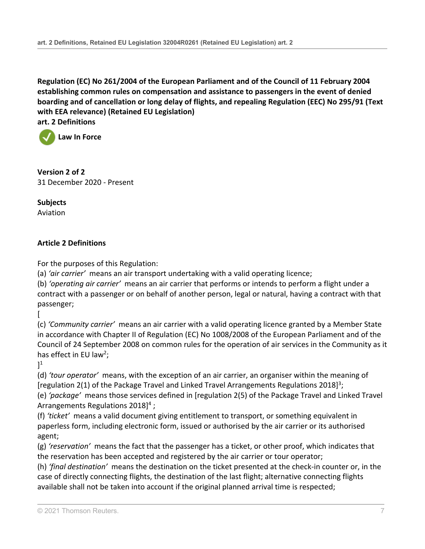**art. 2 Definitions**



**Version 2 of 2** 31 December 2020 - Present

**Subjects** Aviation

# **Article 2 Definitions**

For the purposes of this Regulation:

(a) *'air carrier'* means an air transport undertaking with a valid operating licence;

(b) *'operating air carrier'* means an air carrier that performs or intends to perform a flight under a contract with a passenger or on behalf of another person, legal or natural, having a contract with that passenger;

 $\Gamma$ 

(c) *'Community carrier'* means an air carrier with a valid operating licence granted by a Member State in accordance with [Chapter II](http://uk.westlaw.com/Document/I3CC5EA70D35311E8B7C2E525F0F3B732/View/FullText.html?originationContext=document&transitionType=DocumentItem&vr=3.0&rs=PLUK1.0&contextData=(sc.Search)) of [Regulation \(EC\) No 1008/2008 of the European Parliament and of the](http://uk.westlaw.com/Document/IE961F450D35211E889CDB353CDC9A5D8/View/FullText.html?originationContext=document&transitionType=DocumentItem&vr=3.0&rs=PLUK1.0&contextData=(sc.Search)) [Council of 24 September 2008](http://uk.westlaw.com/Document/IE961F450D35211E889CDB353CDC9A5D8/View/FullText.html?originationContext=document&transitionType=DocumentItem&vr=3.0&rs=PLUK1.0&contextData=(sc.Search)) on common rules for the operation of air services in the Community as it has effect in EU law<sup>2</sup>;

 $]^{1}$ 

(d) *'tour operator'* means, with the exception of an air carrier, an organiser within the meaning of [\[regulation 2\(1\)](http://uk.westlaw.com/Document/I7285DA70687411E88A7AC471312EA12E/View/FullText.html?originationContext=document&transitionType=DocumentItem&vr=3.0&rs=PLUK1.0&contextData=(sc.Search)) of the [Package Travel and Linked Travel Arrangements Regulations 2018](http://uk.westlaw.com/Document/IA526EEC0687311E887DC9C09FFB4B649/View/FullText.html?originationContext=document&transitionType=DocumentItem&vr=3.0&rs=PLUK1.0&contextData=(sc.Search))]<sup>3</sup>;

(e) *'package'* means those services defined in [\[regulation 2\(5\)](http://uk.westlaw.com/Document/I7285DA70687411E88A7AC471312EA12E/View/FullText.html?originationContext=document&transitionType=DocumentItem&vr=3.0&rs=PLUK1.0&contextData=(sc.Search)) of the [Package Travel and Linked Travel](http://uk.westlaw.com/Document/IA526EEC0687311E887DC9C09FFB4B649/View/FullText.html?originationContext=document&transitionType=DocumentItem&vr=3.0&rs=PLUK1.0&contextData=(sc.Search)) [Arrangements Regulations 2018](http://uk.westlaw.com/Document/IA526EEC0687311E887DC9C09FFB4B649/View/FullText.html?originationContext=document&transitionType=DocumentItem&vr=3.0&rs=PLUK1.0&contextData=(sc.Search))]<sup>4</sup>;

(f) *'ticket'* means a valid document giving entitlement to transport, or something equivalent in paperless form, including electronic form, issued or authorised by the air carrier or its authorised agent;

(g) *'reservation'* means the fact that the passenger has a ticket, or other proof, which indicates that the reservation has been accepted and registered by the air carrier or tour operator;

(h) *'final destination'* means the destination on the ticket presented at the check-in counter or, in the case of directly connecting flights, the destination of the last flight; alternative connecting flights available shall not be taken into account if the original planned arrival time is respected;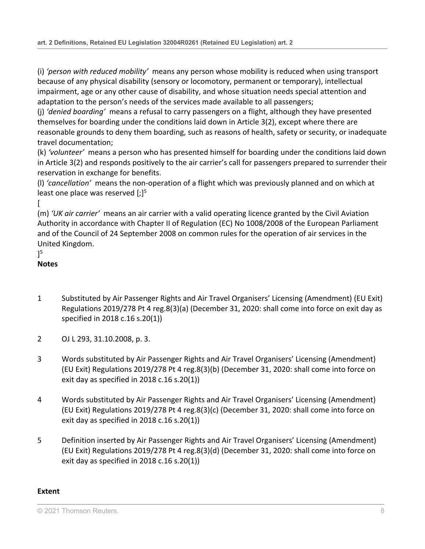(i) *'person with reduced mobility'* means any person whose mobility is reduced when using transport because of any physical disability (sensory or locomotory, permanent or temporary), intellectual impairment, age or any other cause of disability, and whose situation needs special attention and adaptation to the person's needs of the services made available to all passengers;

(j) *'denied boarding'* means a refusal to carry passengers on a flight, although they have presented themselves for boarding under the conditions laid down in Article 3(2), except where there are reasonable grounds to deny them boarding, such as reasons of health, safety or security, or inadequate travel documentation;

(k) *'volunteer'* means a person who has presented himself for boarding under the conditions laid down in Article 3(2) and responds positively to the air carrier's call for passengers prepared to surrender their reservation in exchange for benefits.

(l) *'cancellation'* means the non-operation of a flight which was previously planned and on which at least one place was reserved  $[j]^{5}$ 

 $\mathbf{I}$ 

(m) *'UK air carrier'* means an air carrier with a valid operating licence granted by the Civil Aviation Authority in accordance with [Chapter II](http://uk.westlaw.com/Document/I3CC5EA70D35311E8B7C2E525F0F3B732/View/FullText.html?originationContext=document&transitionType=DocumentItem&vr=3.0&rs=PLUK1.0&contextData=(sc.Search)) of [Regulation \(EC\) No 1008/2008 of the European Parliament](http://uk.westlaw.com/Document/IE961F450D35211E889CDB353CDC9A5D8/View/FullText.html?originationContext=document&transitionType=DocumentItem&vr=3.0&rs=PLUK1.0&contextData=(sc.Search)) [and of the Council of 24 September 2008](http://uk.westlaw.com/Document/IE961F450D35211E889CDB353CDC9A5D8/View/FullText.html?originationContext=document&transitionType=DocumentItem&vr=3.0&rs=PLUK1.0&contextData=(sc.Search)) on common rules for the operation of air services in the United Kingdom.

# ] 5

# **Notes**

- 1 Substituted by Air Passenger Rights and Air Travel Organisers' Licensing (Amendment) (EU Exit) Regulations 2019/278 [Pt 4 reg.8\(3\)\(a\)](http://uk.westlaw.com/Document/I5D5CF9B0359E11E993EDCD2CE0E115CF/View/FullText.html?originationContext=document&transitionType=DocumentItem&vr=3.0&rs=PLUK1.0&contextData=(sc.Search)) (December 31, 2020: shall come into force on exit day as specified in 2018 c.16 s.20(1))
- 2 OJ L 293, 31.10.2008, p. 3.
- 3 Words substituted by Air Passenger Rights and Air Travel Organisers' Licensing (Amendment) (EU Exit) Regulations 2019/278 [Pt 4 reg.8\(3\)\(b\)](http://uk.westlaw.com/Document/I5D5CF9B0359E11E993EDCD2CE0E115CF/View/FullText.html?originationContext=document&transitionType=DocumentItem&vr=3.0&rs=PLUK1.0&contextData=(sc.Search)) (December 31, 2020: shall come into force on exit day as specified in 2018 c.16 s.20(1))
- 4 Words substituted by Air Passenger Rights and Air Travel Organisers' Licensing (Amendment) (EU Exit) Regulations 2019/278 [Pt 4 reg.8\(3\)\(c\)](http://uk.westlaw.com/Document/I5D5CF9B0359E11E993EDCD2CE0E115CF/View/FullText.html?originationContext=document&transitionType=DocumentItem&vr=3.0&rs=PLUK1.0&contextData=(sc.Search)) (December 31, 2020: shall come into force on exit day as specified in 2018 c.16 s.20(1))
- 5 Definition inserted by Air Passenger Rights and Air Travel Organisers' Licensing (Amendment) (EU Exit) Regulations 2019/278 [Pt 4 reg.8\(3\)\(d\)](http://uk.westlaw.com/Document/I5D5CF9B0359E11E993EDCD2CE0E115CF/View/FullText.html?originationContext=document&transitionType=DocumentItem&vr=3.0&rs=PLUK1.0&contextData=(sc.Search)) (December 31, 2020: shall come into force on exit day as specified in 2018 c.16 s.20(1))

# **Extent**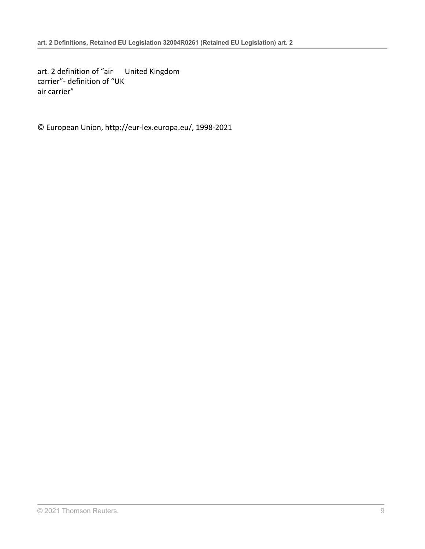art. 2 definition of "air carrier"- definition of "UK air carrier" United Kingdom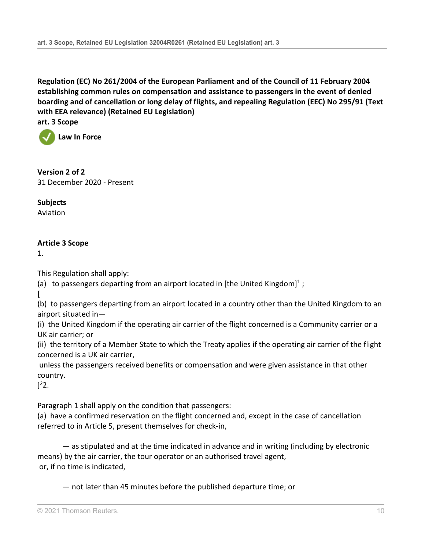**art. 3 Scope**



**Version 2 of 2** 31 December 2020 - Present

**Subjects** Aviation

#### **Article 3 Scope**

1.

This Regulation shall apply:

(a) to passengers departing from an airport located in [the United Kingdom]<sup>1</sup>;

 $\lceil$ 

(b) to passengers departing from an airport located in a country other than the United Kingdom to an airport situated in—

(i) the United Kingdom if the operating air carrier of the flight concerned is a Community carrier or a UK air carrier; or

(ii) the territory of a Member State to which the Treaty applies if the operating air carrier of the flight concerned is a UK air carrier,

unless the passengers received benefits or compensation and were given assistance in that other country.

 $]^{2}2.$ 

Paragraph 1 shall apply on the condition that passengers:

(a) have a confirmed reservation on the flight concerned and, except in the case of cancellation referred to in Article 5, present themselves for check-in,

— as stipulated and at the time indicated in advance and in writing (including by electronic means) by the air carrier, the tour operator or an authorised travel agent, or, if no time is indicated,

— not later than 45 minutes before the published departure time; or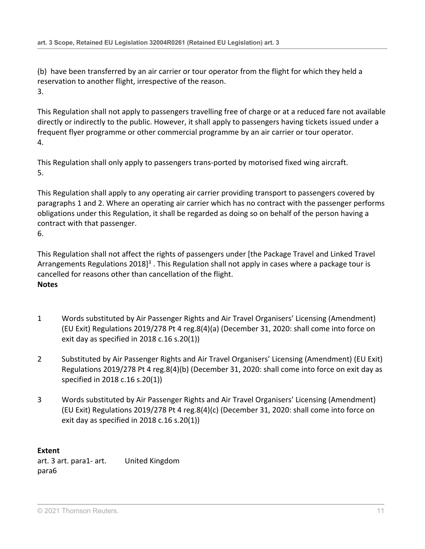(b) have been transferred by an air carrier or tour operator from the flight for which they held a reservation to another flight, irrespective of the reason. 3.

This Regulation shall not apply to passengers travelling free of charge or at a reduced fare not available directly or indirectly to the public. However, it shall apply to passengers having tickets issued under a frequent flyer programme or other commercial programme by an air carrier or tour operator. 4.

This Regulation shall only apply to passengers trans-ported by motorised fixed wing aircraft. 5.

This Regulation shall apply to any operating air carrier providing transport to passengers covered by paragraphs 1 and 2. Where an operating air carrier which has no contract with the passenger performs obligations under this Regulation, it shall be regarded as doing so on behalf of the person having a contract with that passenger.

6.

This Regulation shall not affect the rights of passengers under [the [Package Travel and Linked Travel](http://uk.westlaw.com/Document/IA526EEC0687311E887DC9C09FFB4B649/View/FullText.html?originationContext=document&transitionType=DocumentItem&vr=3.0&rs=PLUK1.0&contextData=(sc.Search)) [Arrangements Regulations 2018](http://uk.westlaw.com/Document/IA526EEC0687311E887DC9C09FFB4B649/View/FullText.html?originationContext=document&transitionType=DocumentItem&vr=3.0&rs=PLUK1.0&contextData=(sc.Search))]<sup>3</sup>. This Regulation shall not apply in cases where a package tour is cancelled for reasons other than cancellation of the flight. **Notes**

- 1 Words substituted by Air Passenger Rights and Air Travel Organisers' Licensing (Amendment) (EU Exit) Regulations 2019/278 [Pt 4 reg.8\(4\)\(a\)](http://uk.westlaw.com/Document/I5D5CF9B0359E11E993EDCD2CE0E115CF/View/FullText.html?originationContext=document&transitionType=DocumentItem&vr=3.0&rs=PLUK1.0&contextData=(sc.Search)) (December 31, 2020: shall come into force on exit day as specified in 2018 c.16 s.20(1))
- 2 Substituted by Air Passenger Rights and Air Travel Organisers' Licensing (Amendment) (EU Exit) Regulations 2019/278 [Pt 4 reg.8\(4\)\(b\)](http://uk.westlaw.com/Document/I5D5CF9B0359E11E993EDCD2CE0E115CF/View/FullText.html?originationContext=document&transitionType=DocumentItem&vr=3.0&rs=PLUK1.0&contextData=(sc.Search)) (December 31, 2020: shall come into force on exit day as specified in 2018 c.16 s.20(1))
- 3 Words substituted by Air Passenger Rights and Air Travel Organisers' Licensing (Amendment) (EU Exit) Regulations 2019/278 [Pt 4 reg.8\(4\)\(c\)](http://uk.westlaw.com/Document/I5D5CF9B0359E11E993EDCD2CE0E115CF/View/FullText.html?originationContext=document&transitionType=DocumentItem&vr=3.0&rs=PLUK1.0&contextData=(sc.Search)) (December 31, 2020: shall come into force on exit day as specified in 2018 c.16 s.20(1))

# **Extent**

art. 3 art. para1- art. para6 United Kingdom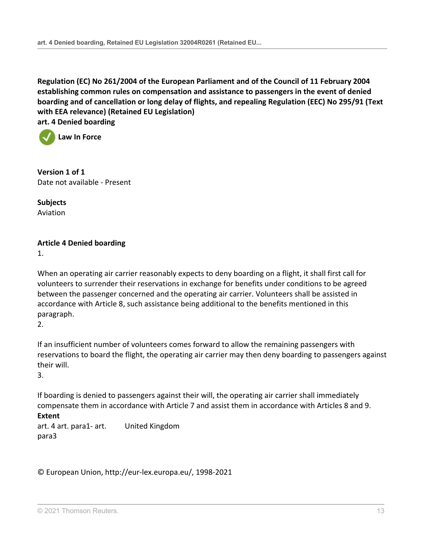**art. 4 Denied boarding**



**Version 1 of 1** Date not available - Present

**Subjects** Aviation

#### **Article 4 Denied boarding**

1.

When an operating air carrier reasonably expects to deny boarding on a flight, it shall first call for volunteers to surrender their reservations in exchange for benefits under conditions to be agreed between the passenger concerned and the operating air carrier. Volunteers shall be assisted in accordance with Article 8, such assistance being additional to the benefits mentioned in this paragraph.

2.

If an insufficient number of volunteers comes forward to allow the remaining passengers with reservations to board the flight, the operating air carrier may then deny boarding to passengers against their will.

3.

If boarding is denied to passengers against their will, the operating air carrier shall immediately compensate them in accordance with Article 7 and assist them in accordance with Articles 8 and 9. **Extent**

art. 4 art. para1- art. para3 United Kingdom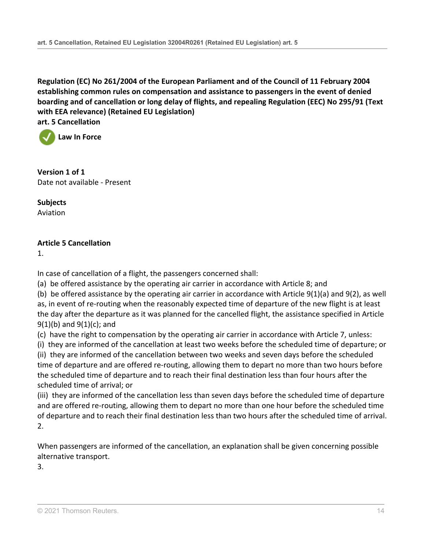**art. 5 Cancellation**



**Version 1 of 1** Date not available - Present

**Subjects** Aviation

#### **Article 5 Cancellation**

1.

In case of cancellation of a flight, the passengers concerned shall:

(a) be offered assistance by the operating air carrier in accordance with Article 8; and

(b) be offered assistance by the operating air carrier in accordance with Article 9(1)(a) and 9(2), as well

as, in event of re-routing when the reasonably expected time of departure of the new flight is at least the day after the departure as it was planned for the cancelled flight, the assistance specified in Article 9(1)(b) and 9(1)(c); and

(c) have the right to compensation by the operating air carrier in accordance with Article 7, unless:

(i) they are informed of the cancellation at least two weeks before the scheduled time of departure; or

(ii) they are informed of the cancellation between two weeks and seven days before the scheduled time of departure and are offered re-routing, allowing them to depart no more than two hours before the scheduled time of departure and to reach their final destination less than four hours after the scheduled time of arrival; or

(iii) they are informed of the cancellation less than seven days before the scheduled time of departure and are offered re-routing, allowing them to depart no more than one hour before the scheduled time of departure and to reach their final destination less than two hours after the scheduled time of arrival. 2.

When passengers are informed of the cancellation, an explanation shall be given concerning possible alternative transport.

3.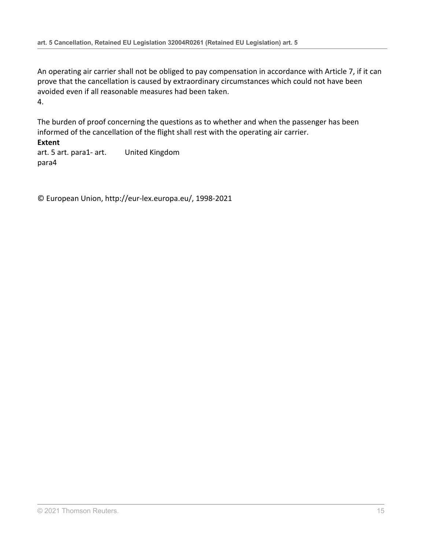An operating air carrier shall not be obliged to pay compensation in accordance with Article 7, if it can prove that the cancellation is caused by extraordinary circumstances which could not have been avoided even if all reasonable measures had been taken. 4.

The burden of proof concerning the questions as to whether and when the passenger has been informed of the cancellation of the flight shall rest with the operating air carrier.

#### **Extent**

art. 5 art. para1- art. para4 United Kingdom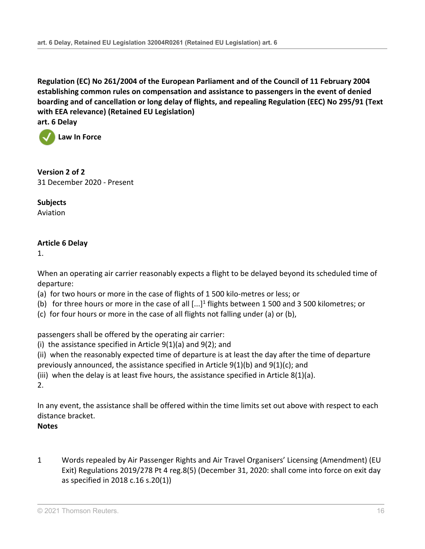**art. 6 Delay**



**Version 2 of 2** 31 December 2020 - Present

**Subjects** Aviation

# **Article 6 Delay**

1.

When an operating air carrier reasonably expects a flight to be delayed beyond its scheduled time of departure:

- (a) for two hours or more in the case of flights of 1 500 kilo-metres or less; or
- (b) for three hours or more in the case of all  $[...]$  flights between 1 500 and 3 500 kilometres; or
- (c) for four hours or more in the case of all flights not falling under (a) or (b),

passengers shall be offered by the operating air carrier:

(i) the assistance specified in Article  $9(1)(a)$  and  $9(2)$ ; and

(ii) when the reasonably expected time of departure is at least the day after the time of departure previously announced, the assistance specified in Article  $9(1)(b)$  and  $9(1)(c)$ ; and

(iii) when the delay is at least five hours, the assistance specified in Article  $8(1)(a)$ .

2.

In any event, the assistance shall be offered within the time limits set out above with respect to each distance bracket.

# **Notes**

1 Words repealed by Air Passenger Rights and Air Travel Organisers' Licensing (Amendment) (EU Exit) Regulations 2019/278 [Pt 4 reg.8\(5\)](http://uk.westlaw.com/Document/I5D5CF9B0359E11E993EDCD2CE0E115CF/View/FullText.html?originationContext=document&transitionType=DocumentItem&vr=3.0&rs=PLUK1.0&contextData=(sc.Search)) (December 31, 2020: shall come into force on exit day as specified in 2018 c.16 s.20(1))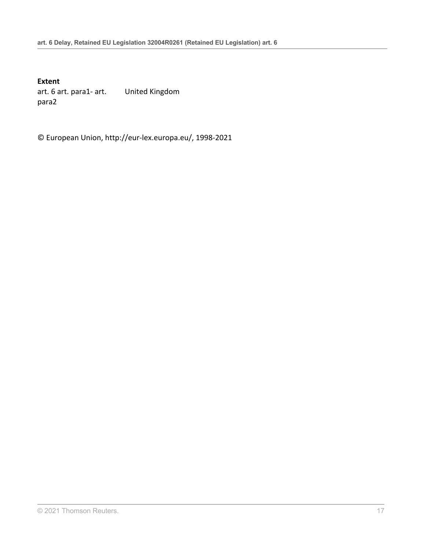**Extent** art. 6 art. para1- art. para2 United Kingdom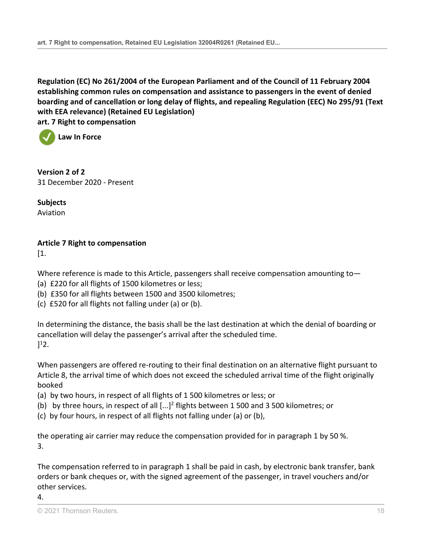**art. 7 Right to compensation**



**Version 2 of 2** 31 December 2020 - Present

**Subjects** Aviation

# **Article 7 Right to compensation**

[1.

Where reference is made to this Article, passengers shall receive compensation amounting to -

- (a) £220 for all flights of 1500 kilometres or less;
- (b) £350 for all flights between 1500 and 3500 kilometres;
- (c) £520 for all flights not falling under (a) or (b).

In determining the distance, the basis shall be the last destination at which the denial of boarding or cancellation will delay the passenger's arrival after the scheduled time.  $]^{1}2.$ 

When passengers are offered re-routing to their final destination on an alternative flight pursuant to Article 8, the arrival time of which does not exceed the scheduled arrival time of the flight originally booked

- (a) by two hours, in respect of all flights of 1 500 kilometres or less; or
- (b) by three hours, in respect of all [...]2 flights between 1 500 and 3 500 kilometres; or
- (c) by four hours, in respect of all flights not falling under (a) or (b),

the operating air carrier may reduce the compensation provided for in paragraph 1 by 50 %. 3.

The compensation referred to in paragraph 1 shall be paid in cash, by electronic bank transfer, bank orders or bank cheques or, with the signed agreement of the passenger, in travel vouchers and/or other services.

4.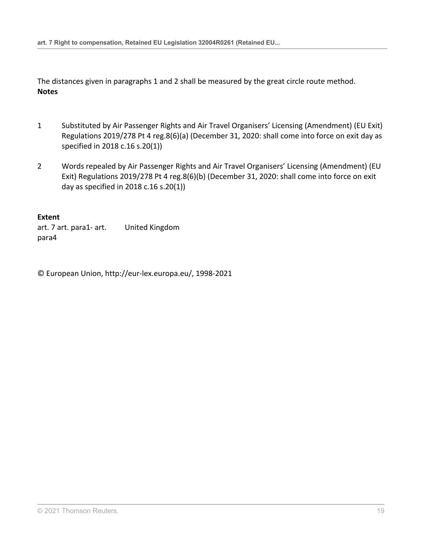The distances given in paragraphs 1 and 2 shall be measured by the great circle route method. **Notes**

- 1 Substituted by Air Passenger Rights and Air Travel Organisers' Licensing (Amendment) (EU Exit) Regulations 2019/278 [Pt 4 reg.8\(6\)\(a\)](http://uk.westlaw.com/Document/I5D5CF9B0359E11E993EDCD2CE0E115CF/View/FullText.html?originationContext=document&transitionType=DocumentItem&vr=3.0&rs=PLUK1.0&contextData=(sc.Search)) (December 31, 2020: shall come into force on exit day as specified in 2018 c.16 s.20(1))
- 2 Words repealed by Air Passenger Rights and Air Travel Organisers' Licensing (Amendment) (EU Exit) Regulations 2019/278 [Pt 4 reg.8\(6\)\(b\)](http://uk.westlaw.com/Document/I5D5CF9B0359E11E993EDCD2CE0E115CF/View/FullText.html?originationContext=document&transitionType=DocumentItem&vr=3.0&rs=PLUK1.0&contextData=(sc.Search)) (December 31, 2020: shall come into force on exit day as specified in 2018 c.16 s.20(1))

#### **Extent**

art. 7 art. para1- art. para4 United Kingdom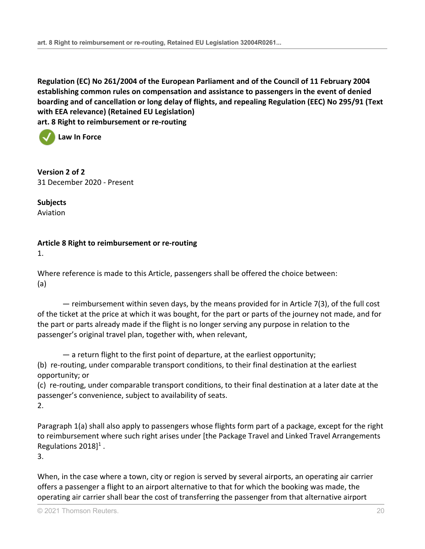**art. 8 Right to reimbursement or re-routing**



**Version 2 of 2** 31 December 2020 - Present

**Subjects** Aviation

# **Article 8 Right to reimbursement or re-routing**

1.

Where reference is made to this Article, passengers shall be offered the choice between: (a)

— reimbursement within seven days, by the means provided for in Article 7(3), of the full cost of the ticket at the price at which it was bought, for the part or parts of the journey not made, and for the part or parts already made if the flight is no longer serving any purpose in relation to the passenger's original travel plan, together with, when relevant,

— a return flight to the first point of departure, at the earliest opportunity; (b) re-routing, under comparable transport conditions, to their final destination at the earliest opportunity; or

(c) re-routing, under comparable transport conditions, to their final destination at a later date at the passenger's convenience, subject to availability of seats.  $2<sub>1</sub>$ 

Paragraph 1(a) shall also apply to passengers whose flights form part of a package, except for the right to reimbursement where such right arises under [the [Package Travel and Linked Travel Arrangements](http://uk.westlaw.com/Document/IA526EEC0687311E887DC9C09FFB4B649/View/FullText.html?originationContext=document&transitionType=DocumentItem&vr=3.0&rs=PLUK1.0&contextData=(sc.Search)) [Regulations 2018](http://uk.westlaw.com/Document/IA526EEC0687311E887DC9C09FFB4B649/View/FullText.html?originationContext=document&transitionType=DocumentItem&vr=3.0&rs=PLUK1.0&contextData=(sc.Search))]<sup>1</sup>.

3.

When, in the case where a town, city or region is served by several airports, an operating air carrier offers a passenger a flight to an airport alternative to that for which the booking was made, the operating air carrier shall bear the cost of transferring the passenger from that alternative airport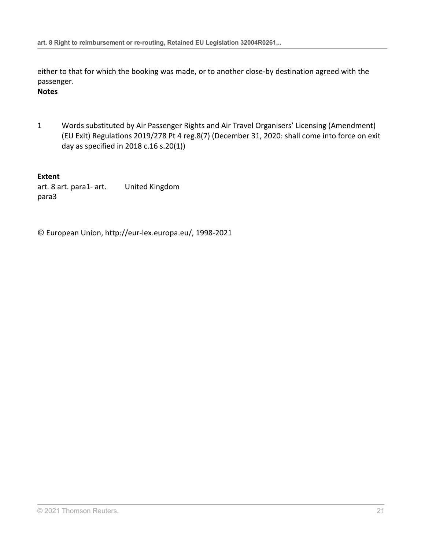either to that for which the booking was made, or to another close-by destination agreed with the passenger.

# **Notes**

1 Words substituted by Air Passenger Rights and Air Travel Organisers' Licensing (Amendment) (EU Exit) Regulations 2019/278 [Pt 4 reg.8\(7\)](http://uk.westlaw.com/Document/I5D5CF9B0359E11E993EDCD2CE0E115CF/View/FullText.html?originationContext=document&transitionType=DocumentItem&vr=3.0&rs=PLUK1.0&contextData=(sc.Search)) (December 31, 2020: shall come into force on exit day as specified in 2018 c.16 s.20(1))

#### **Extent**

art. 8 art. para1- art. para3 United Kingdom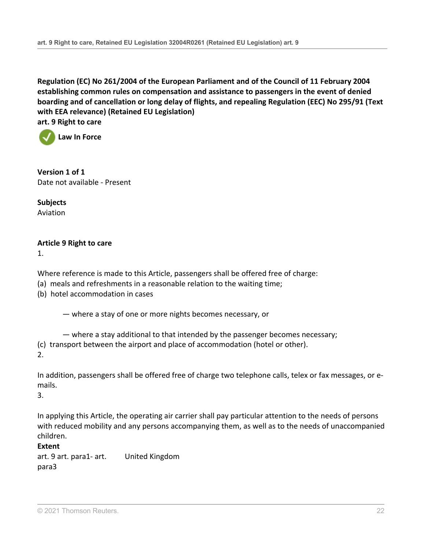**art. 9 Right to care**



**Version 1 of 1** Date not available - Present

**Subjects** Aviation

#### **Article 9 Right to care**

1.

Where reference is made to this Article, passengers shall be offered free of charge:

(a) meals and refreshments in a reasonable relation to the waiting time;

(b) hotel accommodation in cases

— where a stay of one or more nights becomes necessary, or

— where a stay additional to that intended by the passenger becomes necessary;

(c) transport between the airport and place of accommodation (hotel or other).

2.

In addition, passengers shall be offered free of charge two telephone calls, telex or fax messages, or emails.

3.

In applying this Article, the operating air carrier shall pay particular attention to the needs of persons with reduced mobility and any persons accompanying them, as well as to the needs of unaccompanied children.

**Extent**

art. 9 art. para1- art. para3 United Kingdom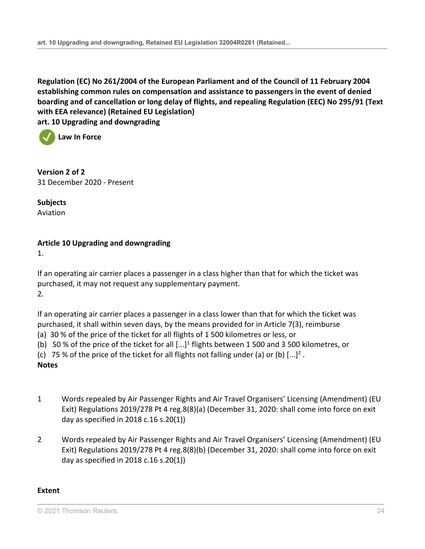**art. 10 Upgrading and downgrading**



**Version 2 of 2** 31 December 2020 - Present

**Subjects** Aviation

# **Article 10 Upgrading and downgrading**

1.

If an operating air carrier places a passenger in a class higher than that for which the ticket was purchased, it may not request any supplementary payment. 2.

If an operating air carrier places a passenger in a class lower than that for which the ticket was purchased, it shall within seven days, by the means provided for in Article 7(3), reimburse

(a) 30 % of the price of the ticket for all flights of 1 500 kilometres or less, or

(b) 50 % of the price of the ticket for all  $[...]^1$  flights between 1 500 and 3 500 kilometres, or

(c) 75 % of the price of the ticket for all flights not falling under (a) or (b)  $\left[ \ldots \right]^{2}$ .

# **Notes**

- 1 Words repealed by Air Passenger Rights and Air Travel Organisers' Licensing (Amendment) (EU Exit) Regulations 2019/278 [Pt 4 reg.8\(8\)\(a\)](http://uk.westlaw.com/Document/I5D5CF9B0359E11E993EDCD2CE0E115CF/View/FullText.html?originationContext=document&transitionType=DocumentItem&vr=3.0&rs=PLUK1.0&contextData=(sc.Search)) (December 31, 2020: shall come into force on exit day as specified in 2018 c.16 s.20(1))
- 2 Words repealed by Air Passenger Rights and Air Travel Organisers' Licensing (Amendment) (EU Exit) Regulations 2019/278 [Pt 4 reg.8\(8\)\(b\)](http://uk.westlaw.com/Document/I5D5CF9B0359E11E993EDCD2CE0E115CF/View/FullText.html?originationContext=document&transitionType=DocumentItem&vr=3.0&rs=PLUK1.0&contextData=(sc.Search)) (December 31, 2020: shall come into force on exit day as specified in 2018 c.16 s.20(1))

#### **Extent**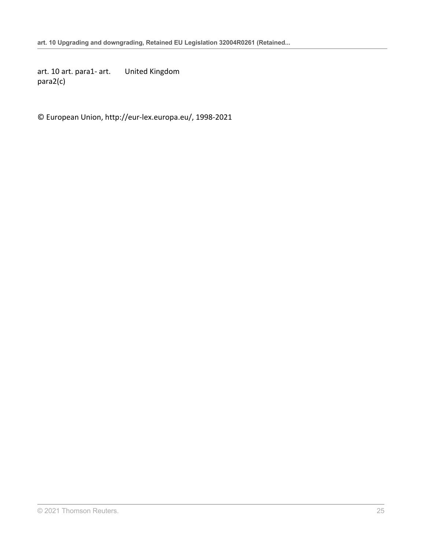art. 10 art. para1- art. para2(c) United Kingdom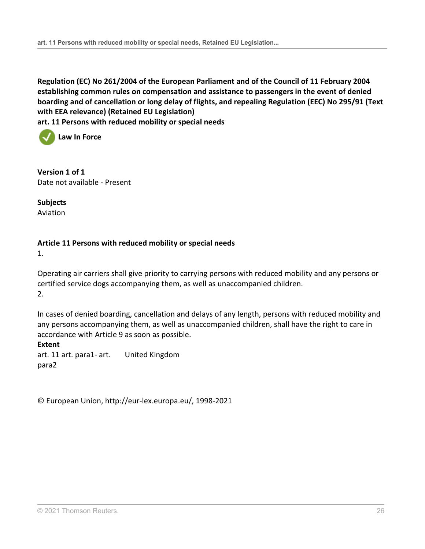**art. 11 Persons with reduced mobility or special needs**



**Version 1 of 1** Date not available - Present

**Subjects** Aviation

#### **Article 11 Persons with reduced mobility or special needs**

1.

Operating air carriers shall give priority to carrying persons with reduced mobility and any persons or certified service dogs accompanying them, as well as unaccompanied children. 2.

In cases of denied boarding, cancellation and delays of any length, persons with reduced mobility and any persons accompanying them, as well as unaccompanied children, shall have the right to care in accordance with Article 9 as soon as possible.

# **Extent**

art. 11 art. para1- art. para2 United Kingdom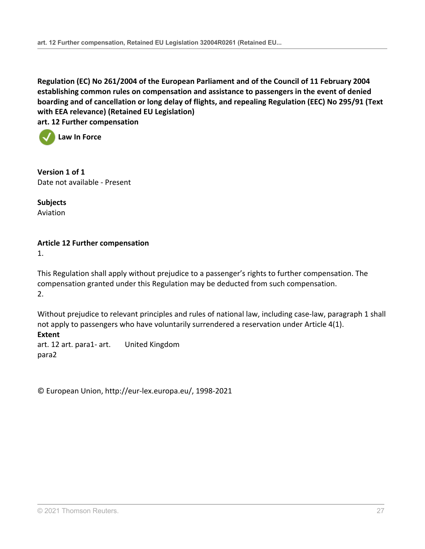**art. 12 Further compensation**



**Version 1 of 1** Date not available - Present

**Subjects** Aviation

#### **Article 12 Further compensation**

1.

This Regulation shall apply without prejudice to a passenger's rights to further compensation. The compensation granted under this Regulation may be deducted from such compensation. 2.

Without prejudice to relevant principles and rules of national law, including case-law, paragraph 1 shall not apply to passengers who have voluntarily surrendered a reservation under Article 4(1). **Extent**

art. 12 art. para1- art. para2 United Kingdom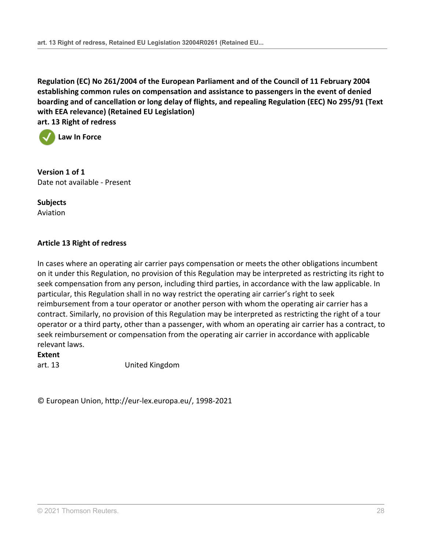**art. 13 Right of redress**



**Version 1 of 1** Date not available - Present

**Subjects** Aviation

#### **Article 13 Right of redress**

In cases where an operating air carrier pays compensation or meets the other obligations incumbent on it under this Regulation, no provision of this Regulation may be interpreted as restricting its right to seek compensation from any person, including third parties, in accordance with the law applicable. In particular, this Regulation shall in no way restrict the operating air carrier's right to seek reimbursement from a tour operator or another person with whom the operating air carrier has a contract. Similarly, no provision of this Regulation may be interpreted as restricting the right of a tour operator or a third party, other than a passenger, with whom an operating air carrier has a contract, to seek reimbursement or compensation from the operating air carrier in accordance with applicable relevant laws.

#### **Extent**

art. 13 United Kingdom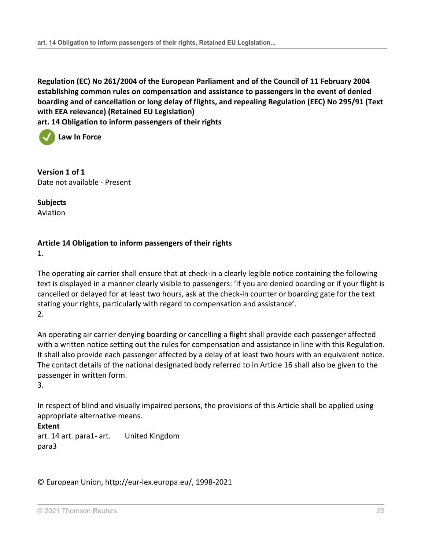**art. 14 Obligation to inform passengers of their rights**



**Version 1 of 1** Date not available - Present

**Subjects** Aviation

#### **Article 14 Obligation to inform passengers of their rights**

1.

The operating air carrier shall ensure that at check-in a clearly legible notice containing the following text is displayed in a manner clearly visible to passengers: 'If you are denied boarding or if your flight is cancelled or delayed for at least two hours, ask at the check-in counter or boarding gate for the text stating your rights, particularly with regard to compensation and assistance'.  $2<sub>1</sub>$ 

An operating air carrier denying boarding or cancelling a flight shall provide each passenger affected with a written notice setting out the rules for compensation and assistance in line with this Regulation. It shall also provide each passenger affected by a delay of at least two hours with an equivalent notice. The contact details of the national designated body referred to in Article 16 shall also be given to the passenger in written form.

3.

In respect of blind and visually impaired persons, the provisions of this Article shall be applied using appropriate alternative means.

**Extent**

art. 14 art. para1- art. para3 United Kingdom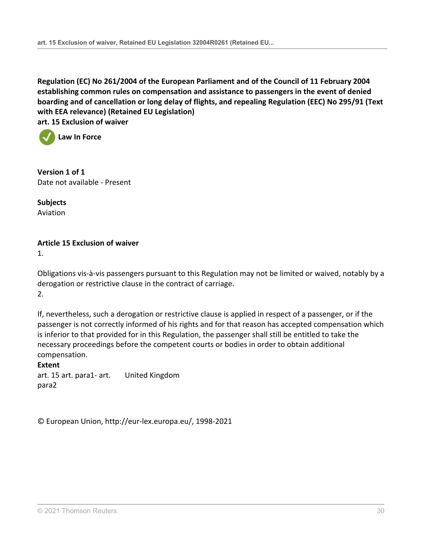**art. 15 Exclusion of waiver**



**Version 1 of 1** Date not available - Present

**Subjects** Aviation

#### **Article 15 Exclusion of waiver**

1.

Obligations vis-à-vis passengers pursuant to this Regulation may not be limited or waived, notably by a derogation or restrictive clause in the contract of carriage. 2.

If, nevertheless, such a derogation or restrictive clause is applied in respect of a passenger, or if the passenger is not correctly informed of his rights and for that reason has accepted compensation which is inferior to that provided for in this Regulation, the passenger shall still be entitled to take the necessary proceedings before the competent courts or bodies in order to obtain additional compensation.

**Extent**

art. 15 art. para1- art. para2 United Kingdom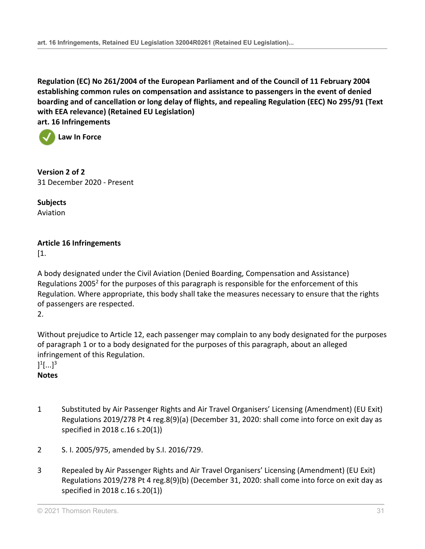**art. 16 Infringements**



**Version 2 of 2** 31 December 2020 - Present

**Subjects** Aviation

# **Article 16 Infringements**

[1.

A body designated under the [Civil Aviation \(Denied Boarding, Compensation and Assistance\)](http://uk.westlaw.com/Document/I62426E40E42311DAA7CF8F68F6EE57AB/View/FullText.html?originationContext=document&transitionType=DocumentItem&vr=3.0&rs=PLUK1.0&contextData=(sc.Search)) [Regulations 2005](http://uk.westlaw.com/Document/I62426E40E42311DAA7CF8F68F6EE57AB/View/FullText.html?originationContext=document&transitionType=DocumentItem&vr=3.0&rs=PLUK1.0&contextData=(sc.Search)) $2$  for the purposes of this paragraph is responsible for the enforcement of this Regulation. Where appropriate, this body shall take the measures necessary to ensure that the rights of passengers are respected.

2.

Without prejudice to [Article 12](http://uk.westlaw.com/Document/IFDBA0370F34511E9B730FC0D44B033C7/View/FullText.html?originationContext=document&transitionType=DocumentItem&vr=3.0&rs=PLUK1.0&contextData=(sc.Search)), each passenger may complain to any body designated for the purposes of paragraph 1 or to a body designated for the purposes of this paragraph, about an alleged infringement of this Regulation.

 $]^{1}[...]^{3}$ 

**Notes**

- 1 Substituted by Air Passenger Rights and Air Travel Organisers' Licensing (Amendment) (EU Exit) Regulations 2019/278 [Pt 4 reg.8\(9\)\(a\)](http://uk.westlaw.com/Document/I5D5CF9B0359E11E993EDCD2CE0E115CF/View/FullText.html?originationContext=document&transitionType=DocumentItem&vr=3.0&rs=PLUK1.0&contextData=(sc.Search)) (December 31, 2020: shall come into force on exit day as specified in 2018 c.16 s.20(1))
- 2 S. I. 2005/975, amended by [S.I. 2016/729](http://uk.westlaw.com/Document/I81E6F320497011E6884BDA84C21A5570/View/FullText.html?originationContext=document&transitionType=DocumentItem&vr=3.0&rs=PLUK1.0&contextData=(sc.Search)).
- 3 Repealed by Air Passenger Rights and Air Travel Organisers' Licensing (Amendment) (EU Exit) Regulations 2019/278 [Pt 4 reg.8\(9\)\(b\)](http://uk.westlaw.com/Document/I5D5CF9B0359E11E993EDCD2CE0E115CF/View/FullText.html?originationContext=document&transitionType=DocumentItem&vr=3.0&rs=PLUK1.0&contextData=(sc.Search)) (December 31, 2020: shall come into force on exit day as specified in 2018 c.16 s.20(1))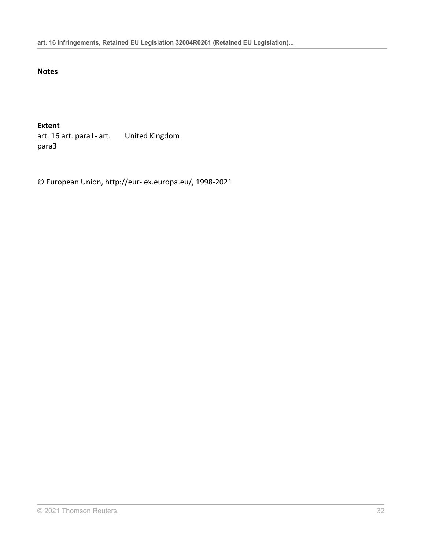#### **Notes**

#### **Extent**

art. 16 art. para1- art. para3 United Kingdom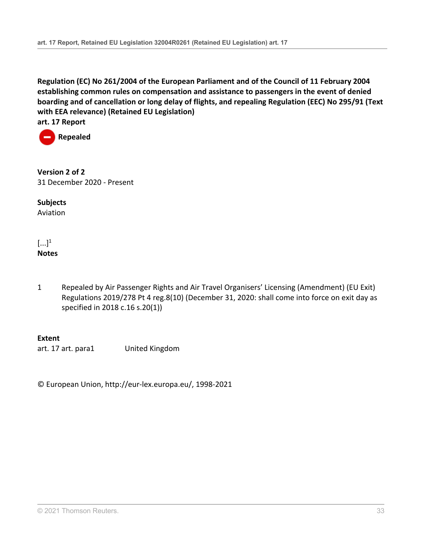**art. 17 Report**



**Version 2 of 2** 31 December 2020 - Present

**Subjects** Aviation

 $\left[\ldots\right]^1$ **Notes**

1 Repealed by Air Passenger Rights and Air Travel Organisers' Licensing (Amendment) (EU Exit) Regulations 2019/278 [Pt 4 reg.8\(10\)](http://uk.westlaw.com/Document/I5D5CF9B0359E11E993EDCD2CE0E115CF/View/FullText.html?originationContext=document&transitionType=DocumentItem&vr=3.0&rs=PLUK1.0&contextData=(sc.Search)) (December 31, 2020: shall come into force on exit day as specified in 2018 c.16 s.20(1))

#### **Extent**

art. 17 art. para1 United Kingdom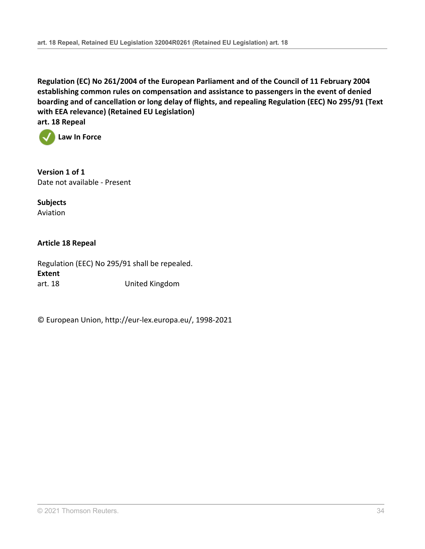**art. 18 Repeal**



**Version 1 of 1** Date not available - Present

**Subjects** Aviation

# **Article 18 Repeal**

Regulation (EEC) No 295/91 shall be repealed. **Extent** art. 18 United Kingdom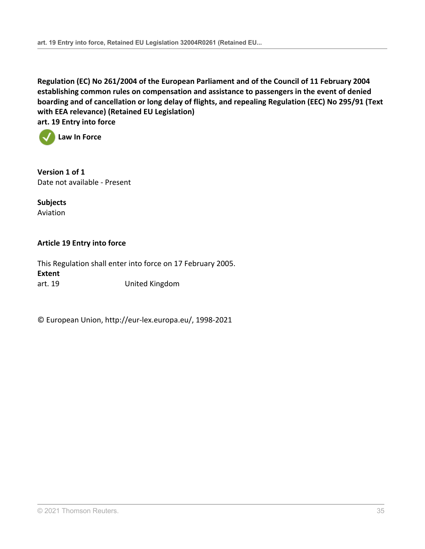**art. 19 Entry into force**



**Version 1 of 1** Date not available - Present

**Subjects** Aviation

# **Article 19 Entry into force**

This Regulation shall enter into force on 17 February 2005. **Extent** art. 19 United Kingdom